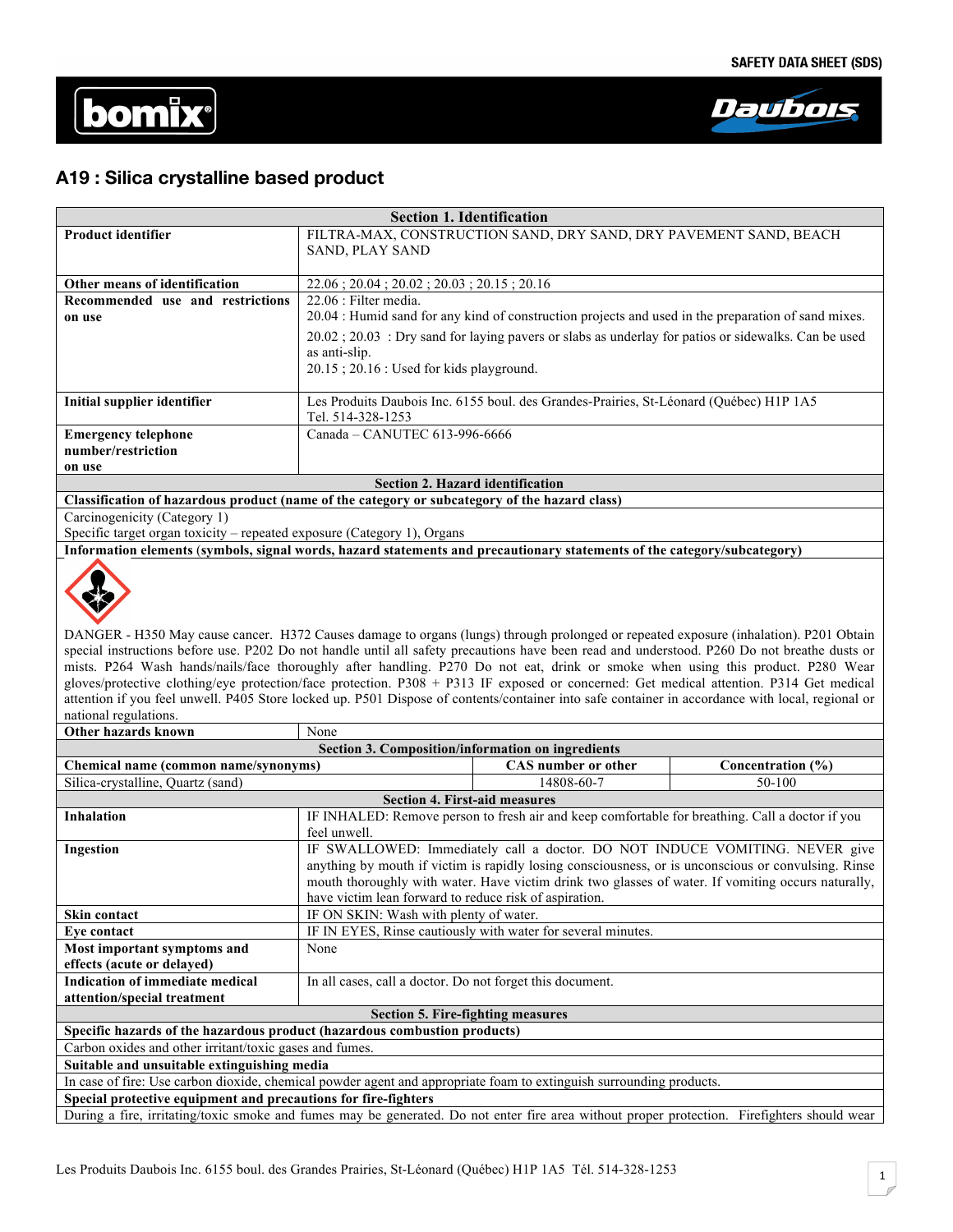



# **A19 : Silica crystalline based product**

|                                                                                                                                                                                       | SAND, PLAY SAND                                                                                                                                  | FILTRA-MAX, CONSTRUCTION SAND, DRY SAND, DRY PAVEMENT SAND, BEACH                               |                                                                                                                                                                                                           |  |  |
|---------------------------------------------------------------------------------------------------------------------------------------------------------------------------------------|--------------------------------------------------------------------------------------------------------------------------------------------------|-------------------------------------------------------------------------------------------------|-----------------------------------------------------------------------------------------------------------------------------------------------------------------------------------------------------------|--|--|
|                                                                                                                                                                                       |                                                                                                                                                  |                                                                                                 |                                                                                                                                                                                                           |  |  |
| Other means of identification                                                                                                                                                         | 22.06; 20.04; 20.02; 20.03; 20.15; 20.16                                                                                                         |                                                                                                 |                                                                                                                                                                                                           |  |  |
| Recommended use and restrictions                                                                                                                                                      | 22.06 : Filter media.                                                                                                                            |                                                                                                 |                                                                                                                                                                                                           |  |  |
| on use                                                                                                                                                                                | 20.04 : Humid sand for any kind of construction projects and used in the preparation of sand mixes.                                              |                                                                                                 |                                                                                                                                                                                                           |  |  |
|                                                                                                                                                                                       | $20.02$ ; $20.03$ : Dry sand for laying pavers or slabs as underlay for patios or sidewalks. Can be used                                         |                                                                                                 |                                                                                                                                                                                                           |  |  |
|                                                                                                                                                                                       | as anti-slip.                                                                                                                                    |                                                                                                 |                                                                                                                                                                                                           |  |  |
|                                                                                                                                                                                       | 20.15; 20.16: Used for kids playground.                                                                                                          |                                                                                                 |                                                                                                                                                                                                           |  |  |
|                                                                                                                                                                                       |                                                                                                                                                  |                                                                                                 |                                                                                                                                                                                                           |  |  |
| Initial supplier identifier                                                                                                                                                           | Les Produits Daubois Inc. 6155 boul. des Grandes-Prairies, St-Léonard (Québec) H1P 1A5                                                           |                                                                                                 |                                                                                                                                                                                                           |  |  |
|                                                                                                                                                                                       | Tel. 514-328-1253                                                                                                                                |                                                                                                 |                                                                                                                                                                                                           |  |  |
| <b>Emergency telephone</b><br>number/restriction                                                                                                                                      | Canada - CANUTEC 613-996-6666                                                                                                                    |                                                                                                 |                                                                                                                                                                                                           |  |  |
| on use                                                                                                                                                                                |                                                                                                                                                  |                                                                                                 |                                                                                                                                                                                                           |  |  |
|                                                                                                                                                                                       | <b>Section 2. Hazard identification</b>                                                                                                          |                                                                                                 |                                                                                                                                                                                                           |  |  |
| Classification of hazardous product (name of the category or subcategory of the hazard class)                                                                                         |                                                                                                                                                  |                                                                                                 |                                                                                                                                                                                                           |  |  |
| Carcinogenicity (Category 1)                                                                                                                                                          |                                                                                                                                                  |                                                                                                 |                                                                                                                                                                                                           |  |  |
| Specific target organ toxicity - repeated exposure (Category 1), Organs                                                                                                               |                                                                                                                                                  |                                                                                                 |                                                                                                                                                                                                           |  |  |
| Information elements (symbols, signal words, hazard statements and precautionary statements of the category/subcategory)                                                              |                                                                                                                                                  |                                                                                                 |                                                                                                                                                                                                           |  |  |
|                                                                                                                                                                                       |                                                                                                                                                  |                                                                                                 |                                                                                                                                                                                                           |  |  |
|                                                                                                                                                                                       |                                                                                                                                                  |                                                                                                 |                                                                                                                                                                                                           |  |  |
| DANGER - H350 May cause cancer. H372 Causes damage to organs (lungs) through prolonged or repeated exposure (inhalation). P201 Obtain                                                 |                                                                                                                                                  |                                                                                                 |                                                                                                                                                                                                           |  |  |
| special instructions before use. P202 Do not handle until all safety precautions have been read and understood. P260 Do not breathe dusts or                                          |                                                                                                                                                  |                                                                                                 |                                                                                                                                                                                                           |  |  |
| mists. P264 Wash hands/nails/face thoroughly after handling. P270 Do not eat, drink or smoke when using this product. P280 Wear                                                       |                                                                                                                                                  |                                                                                                 |                                                                                                                                                                                                           |  |  |
| gloves/protective clothing/eye protection/face protection. P308 + P313 IF exposed or concerned: Get medical attention. P314 Get medical                                               |                                                                                                                                                  |                                                                                                 |                                                                                                                                                                                                           |  |  |
|                                                                                                                                                                                       | attention if you feel unwell. P405 Store locked up. P501 Dispose of contents/container into safe container in accordance with local, regional or |                                                                                                 |                                                                                                                                                                                                           |  |  |
|                                                                                                                                                                                       |                                                                                                                                                  |                                                                                                 |                                                                                                                                                                                                           |  |  |
| national regulations.                                                                                                                                                                 |                                                                                                                                                  |                                                                                                 |                                                                                                                                                                                                           |  |  |
| Other hazards known                                                                                                                                                                   | None                                                                                                                                             |                                                                                                 |                                                                                                                                                                                                           |  |  |
|                                                                                                                                                                                       | Section 3. Composition/information on ingredients                                                                                                |                                                                                                 |                                                                                                                                                                                                           |  |  |
| Chemical name (common name/synonyms)                                                                                                                                                  |                                                                                                                                                  | <b>CAS</b> number or other                                                                      | Concentration (%)                                                                                                                                                                                         |  |  |
| Silica-crystalline, Quartz (sand)                                                                                                                                                     |                                                                                                                                                  | 14808-60-7                                                                                      | 50-100                                                                                                                                                                                                    |  |  |
|                                                                                                                                                                                       | <b>Section 4. First-aid measures</b>                                                                                                             |                                                                                                 |                                                                                                                                                                                                           |  |  |
| <b>Inhalation</b>                                                                                                                                                                     |                                                                                                                                                  | IF INHALED: Remove person to fresh air and keep comfortable for breathing. Call a doctor if you |                                                                                                                                                                                                           |  |  |
|                                                                                                                                                                                       | feel unwell.                                                                                                                                     |                                                                                                 |                                                                                                                                                                                                           |  |  |
| <b>Ingestion</b>                                                                                                                                                                      |                                                                                                                                                  |                                                                                                 | IF SWALLOWED: Immediately call a doctor. DO NOT INDUCE VOMITING. NEVER give                                                                                                                               |  |  |
|                                                                                                                                                                                       |                                                                                                                                                  |                                                                                                 | anything by mouth if victim is rapidly losing consciousness, or is unconscious or convulsing. Rinse<br>mouth thoroughly with water. Have victim drink two glasses of water. If vomiting occurs naturally, |  |  |
|                                                                                                                                                                                       | have victim lean forward to reduce risk of aspiration.                                                                                           |                                                                                                 |                                                                                                                                                                                                           |  |  |
| Skin contact                                                                                                                                                                          | IF ON SKIN: Wash with plenty of water.                                                                                                           |                                                                                                 |                                                                                                                                                                                                           |  |  |
| Eye contact                                                                                                                                                                           |                                                                                                                                                  | IF IN EYES, Rinse cautiously with water for several minutes.                                    |                                                                                                                                                                                                           |  |  |
| Most important symptoms and                                                                                                                                                           | None                                                                                                                                             |                                                                                                 |                                                                                                                                                                                                           |  |  |
| effects (acute or delayed)                                                                                                                                                            |                                                                                                                                                  |                                                                                                 |                                                                                                                                                                                                           |  |  |
| Indication of immediate medical                                                                                                                                                       | In all cases, call a doctor. Do not forget this document.                                                                                        |                                                                                                 |                                                                                                                                                                                                           |  |  |
| attention/special treatment                                                                                                                                                           |                                                                                                                                                  |                                                                                                 |                                                                                                                                                                                                           |  |  |
|                                                                                                                                                                                       | <b>Section 5. Fire-fighting measures</b>                                                                                                         |                                                                                                 |                                                                                                                                                                                                           |  |  |
| Specific hazards of the hazardous product (hazardous combustion products)                                                                                                             |                                                                                                                                                  |                                                                                                 |                                                                                                                                                                                                           |  |  |
| Carbon oxides and other irritant/toxic gases and fumes.                                                                                                                               |                                                                                                                                                  |                                                                                                 |                                                                                                                                                                                                           |  |  |
| Suitable and unsuitable extinguishing media                                                                                                                                           |                                                                                                                                                  |                                                                                                 |                                                                                                                                                                                                           |  |  |
| In case of fire: Use carbon dioxide, chemical powder agent and appropriate foam to extinguish surrounding products.<br>Special protective equipment and precautions for fire-fighters |                                                                                                                                                  |                                                                                                 |                                                                                                                                                                                                           |  |  |

**Section 1. Identification**

During a fire, irritating/toxic smoke and fumes may be generated. Do not enter fire area without proper protection. Firefighters should wear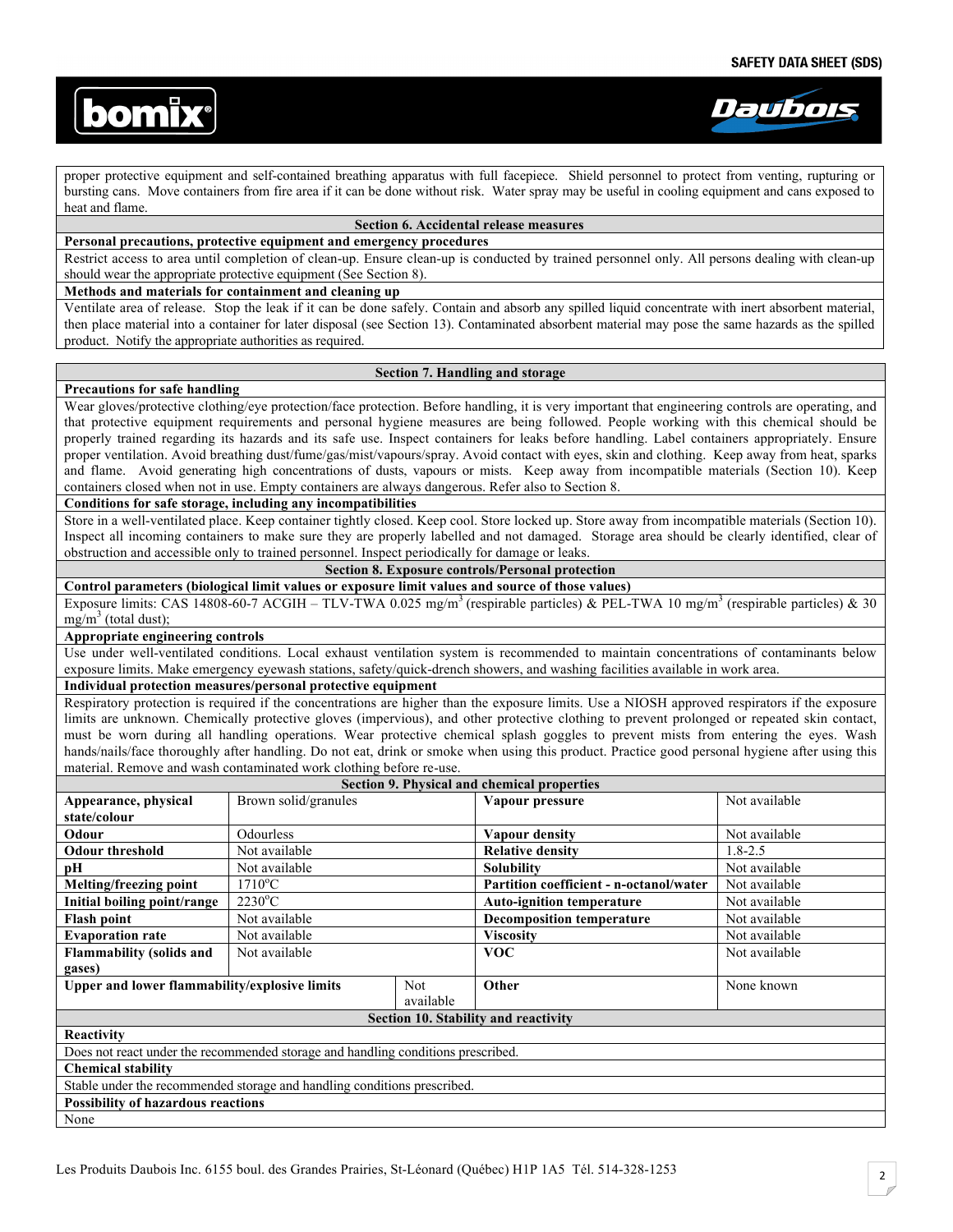



proper protective equipment and self-contained breathing apparatus with full facepiece. Shield personnel to protect from venting, rupturing or bursting cans. Move containers from fire area if it can be done without risk. Water spray may be useful in cooling equipment and cans exposed to heat and flame.

# **Section 6. Accidental release measures**

# **Personal precautions, protective equipment and emergency procedures**

Restrict access to area until completion of clean-up. Ensure clean-up is conducted by trained personnel only. All persons dealing with clean-up should wear the appropriate protective equipment (See Section 8).

## **Methods and materials for containment and cleaning up**

Ventilate area of release. Stop the leak if it can be done safely. Contain and absorb any spilled liquid concentrate with inert absorbent material, then place material into a container for later disposal (see Section 13). Contaminated absorbent material may pose the same hazards as the spilled product. Notify the appropriate authorities as required.

## **Section 7. Handling and storage**

#### **Precautions for safe handling**

Wear gloves/protective clothing/eye protection/face protection. Before handling, it is very important that engineering controls are operating, and that protective equipment requirements and personal hygiene measures are being followed. People working with this chemical should be properly trained regarding its hazards and its safe use. Inspect containers for leaks before handling. Label containers appropriately. Ensure proper ventilation. Avoid breathing dust/fume/gas/mist/vapours/spray. Avoid contact with eyes, skin and clothing. Keep away from heat, sparks and flame. Avoid generating high concentrations of dusts, vapours or mists. Keep away from incompatible materials (Section 10). Keep containers closed when not in use. Empty containers are always dangerous. Refer also to Section 8.

# **Conditions for safe storage, including any incompatibilities**

Store in a well-ventilated place. Keep container tightly closed. Keep cool. Store locked up. Store away from incompatible materials (Section 10). Inspect all incoming containers to make sure they are properly labelled and not damaged. Storage area should be clearly identified, clear of obstruction and accessible only to trained personnel. Inspect periodically for damage or leaks.

# **Section 8. Exposure controls/Personal protection**

**Control parameters (biological limit values or exposure limit values and source of those values)**  Exposure limits: CAS 14808-60-7 ACGIH – TLV-TWA 0.025 mg/m<sup>3</sup> (respirable particles) & PEL-TWA 10 mg/m<sup>3</sup> (respirable particles) & 30  $mg/m<sup>3</sup>$  (total dust);

#### **Appropriate engineering controls**

Use under well-ventilated conditions. Local exhaust ventilation system is recommended to maintain concentrations of contaminants below exposure limits. Make emergency eyewash stations, safety/quick-drench showers, and washing facilities available in work area.

## **Individual protection measures/personal protective equipment**

Respiratory protection is required if the concentrations are higher than the exposure limits. Use a NIOSH approved respirators if the exposure limits are unknown. Chemically protective gloves (impervious), and other protective clothing to prevent prolonged or repeated skin contact, must be worn during all handling operations. Wear protective chemical splash goggles to prevent mists from entering the eyes. Wash hands/nails/face thoroughly after handling. Do not eat, drink or smoke when using this product. Practice good personal hygiene after using this material. Remove and wash contaminated work clothing before re-use.

| Section 9. Physical and chemical properties                                      |                      |            |                                         |               |  |  |
|----------------------------------------------------------------------------------|----------------------|------------|-----------------------------------------|---------------|--|--|
| Appearance, physical                                                             | Brown solid/granules |            | Vapour pressure                         | Not available |  |  |
| state/colour                                                                     |                      |            |                                         |               |  |  |
| Odour                                                                            | <b>Odourless</b>     |            | Vapour density                          | Not available |  |  |
| <b>Odour threshold</b>                                                           | Not available        |            | <b>Relative density</b>                 | $1.8 - 2.5$   |  |  |
| рH                                                                               | Not available        |            | <b>Solubility</b>                       | Not available |  |  |
| Melting/freezing point                                                           | $1710^{\circ}$ C     |            | Partition coefficient - n-octanol/water | Not available |  |  |
| Initial boiling point/range                                                      | $2230^{\circ}$ C     |            | <b>Auto-ignition temperature</b>        | Not available |  |  |
| <b>Flash point</b>                                                               | Not available        |            | <b>Decomposition temperature</b>        | Not available |  |  |
| <b>Evaporation rate</b>                                                          | Not available        |            | <b>Viscosity</b>                        | Not available |  |  |
| <b>Flammability (solids and</b>                                                  | Not available        |            | <b>VOC</b>                              | Not available |  |  |
| gases)                                                                           |                      |            |                                         |               |  |  |
| Upper and lower flammability/explosive limits                                    |                      | <b>Not</b> | Other                                   | None known    |  |  |
|                                                                                  |                      | available  |                                         |               |  |  |
| Section 10. Stability and reactivity                                             |                      |            |                                         |               |  |  |
| Reactivity                                                                       |                      |            |                                         |               |  |  |
| Does not react under the recommended storage and handling conditions prescribed. |                      |            |                                         |               |  |  |
| <b>Chemical stability</b>                                                        |                      |            |                                         |               |  |  |
| Stable under the recommended storage and handling conditions prescribed.         |                      |            |                                         |               |  |  |
| <b>Possibility of hazardous reactions</b>                                        |                      |            |                                         |               |  |  |
| None                                                                             |                      |            |                                         |               |  |  |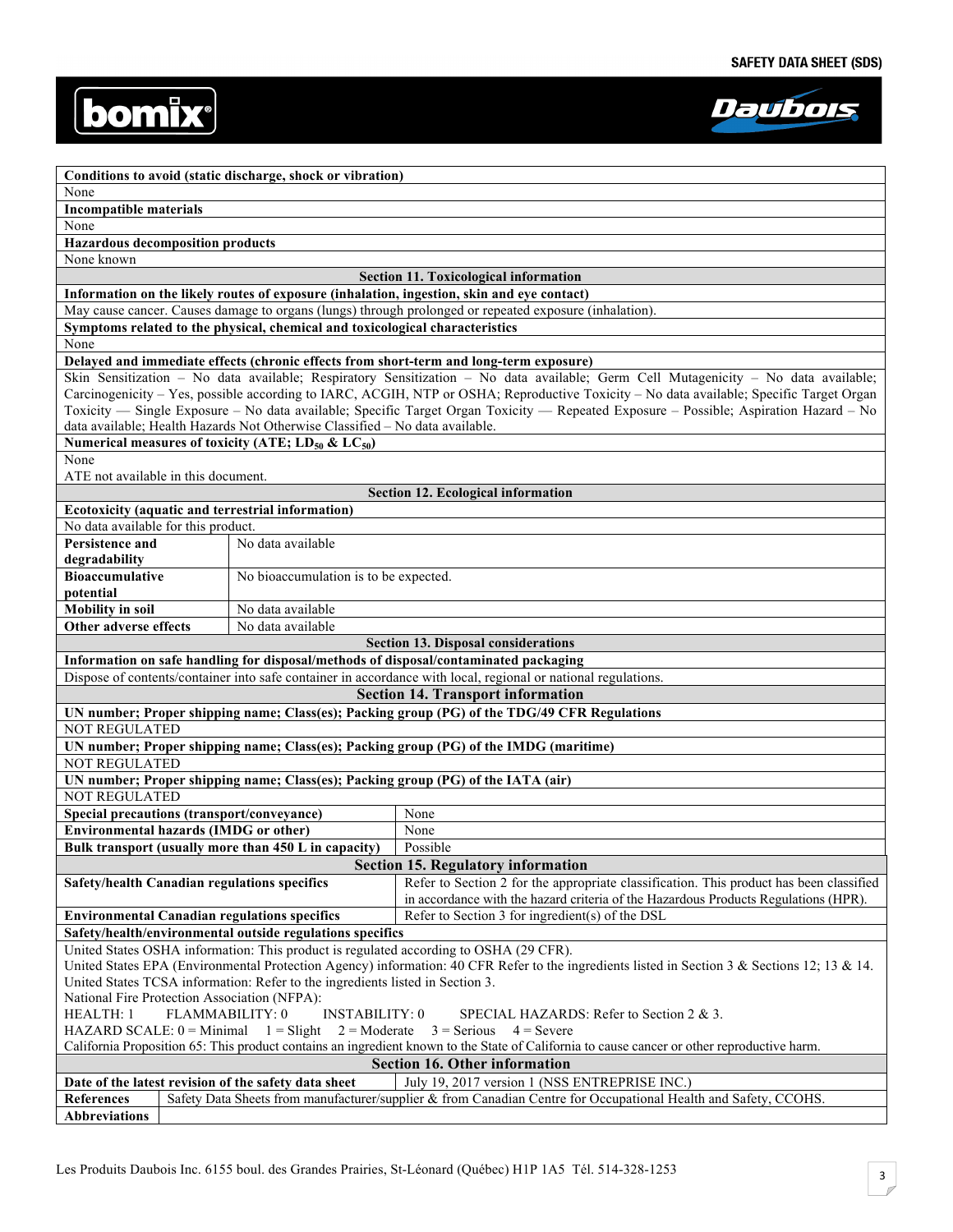



|                                                                                                                                                                                                                          |  | Conditions to avoid (static discharge, shock or vibration)                   |                                                                                                                                         |  |
|--------------------------------------------------------------------------------------------------------------------------------------------------------------------------------------------------------------------------|--|------------------------------------------------------------------------------|-----------------------------------------------------------------------------------------------------------------------------------------|--|
| None                                                                                                                                                                                                                     |  |                                                                              |                                                                                                                                         |  |
| <b>Incompatible materials</b>                                                                                                                                                                                            |  |                                                                              |                                                                                                                                         |  |
| None                                                                                                                                                                                                                     |  |                                                                              |                                                                                                                                         |  |
| <b>Hazardous decomposition products</b>                                                                                                                                                                                  |  |                                                                              |                                                                                                                                         |  |
| None known                                                                                                                                                                                                               |  |                                                                              |                                                                                                                                         |  |
|                                                                                                                                                                                                                          |  |                                                                              | <b>Section 11. Toxicological information</b>                                                                                            |  |
|                                                                                                                                                                                                                          |  |                                                                              | Information on the likely routes of exposure (inhalation, ingestion, skin and eye contact)                                              |  |
|                                                                                                                                                                                                                          |  |                                                                              | May cause cancer. Causes damage to organs (lungs) through prolonged or repeated exposure (inhalation).                                  |  |
|                                                                                                                                                                                                                          |  | Symptoms related to the physical, chemical and toxicological characteristics |                                                                                                                                         |  |
| None                                                                                                                                                                                                                     |  |                                                                              |                                                                                                                                         |  |
|                                                                                                                                                                                                                          |  |                                                                              | Delayed and immediate effects (chronic effects from short-term and long-term exposure)                                                  |  |
|                                                                                                                                                                                                                          |  |                                                                              | Skin Sensitization - No data available; Respiratory Sensitization - No data available; Germ Cell Mutagenicity - No data available;      |  |
|                                                                                                                                                                                                                          |  |                                                                              | Carcinogenicity – Yes, possible according to IARC, ACGIH, NTP or OSHA; Reproductive Toxicity – No data available; Specific Target Organ |  |
|                                                                                                                                                                                                                          |  |                                                                              | Toxicity — Single Exposure – No data available; Specific Target Organ Toxicity — Repeated Exposure – Possible; Aspiration Hazard – No   |  |
|                                                                                                                                                                                                                          |  | data available; Health Hazards Not Otherwise Classified - No data available. |                                                                                                                                         |  |
|                                                                                                                                                                                                                          |  | Numerical measures of toxicity (ATE; $LD_{50}$ & $LC_{50}$ )                 |                                                                                                                                         |  |
| None                                                                                                                                                                                                                     |  |                                                                              |                                                                                                                                         |  |
| ATE not available in this document.                                                                                                                                                                                      |  |                                                                              |                                                                                                                                         |  |
|                                                                                                                                                                                                                          |  |                                                                              | <b>Section 12. Ecological information</b>                                                                                               |  |
|                                                                                                                                                                                                                          |  | Ecotoxicity (aquatic and terrestrial information)                            |                                                                                                                                         |  |
| No data available for this product.                                                                                                                                                                                      |  |                                                                              |                                                                                                                                         |  |
| <b>Persistence and</b>                                                                                                                                                                                                   |  | No data available                                                            |                                                                                                                                         |  |
| degradability<br><b>Bioaccumulative</b>                                                                                                                                                                                  |  | No bioaccumulation is to be expected.                                        |                                                                                                                                         |  |
| potential                                                                                                                                                                                                                |  |                                                                              |                                                                                                                                         |  |
| <b>Mobility</b> in soil                                                                                                                                                                                                  |  | No data available                                                            |                                                                                                                                         |  |
| Other adverse effects                                                                                                                                                                                                    |  | No data available                                                            |                                                                                                                                         |  |
|                                                                                                                                                                                                                          |  |                                                                              | <b>Section 13. Disposal considerations</b>                                                                                              |  |
|                                                                                                                                                                                                                          |  |                                                                              | Information on safe handling for disposal/methods of disposal/contaminated packaging                                                    |  |
|                                                                                                                                                                                                                          |  |                                                                              | Dispose of contents/container into safe container in accordance with local, regional or national regulations.                           |  |
|                                                                                                                                                                                                                          |  |                                                                              | <b>Section 14. Transport information</b>                                                                                                |  |
|                                                                                                                                                                                                                          |  |                                                                              | UN number; Proper shipping name; Class(es); Packing group (PG) of the TDG/49 CFR Regulations                                            |  |
| <b>NOT REGULATED</b>                                                                                                                                                                                                     |  |                                                                              |                                                                                                                                         |  |
|                                                                                                                                                                                                                          |  |                                                                              | UN number; Proper shipping name; Class(es); Packing group (PG) of the IMDG (maritime)                                                   |  |
| NOT REGULATED                                                                                                                                                                                                            |  |                                                                              |                                                                                                                                         |  |
|                                                                                                                                                                                                                          |  |                                                                              | UN number; Proper shipping name; Class(es); Packing group (PG) of the IATA (air)                                                        |  |
| <b>NOT REGULATED</b>                                                                                                                                                                                                     |  |                                                                              |                                                                                                                                         |  |
| Special precautions (transport/conveyance)                                                                                                                                                                               |  |                                                                              | None                                                                                                                                    |  |
| <b>Environmental hazards (IMDG or other)</b>                                                                                                                                                                             |  |                                                                              | None                                                                                                                                    |  |
|                                                                                                                                                                                                                          |  | Bulk transport (usually more than 450 L in capacity)                         | Possible                                                                                                                                |  |
| <b>Section 15. Regulatory information</b>                                                                                                                                                                                |  |                                                                              |                                                                                                                                         |  |
| Safety/health Canadian regulations specifics                                                                                                                                                                             |  |                                                                              | Refer to Section 2 for the appropriate classification. This product has been classified                                                 |  |
|                                                                                                                                                                                                                          |  |                                                                              | in accordance with the hazard criteria of the Hazardous Products Regulations (HPR).                                                     |  |
|                                                                                                                                                                                                                          |  | <b>Environmental Canadian regulations specifics</b>                          | Refer to Section 3 for ingredient(s) of the DSL                                                                                         |  |
| Safety/health/environmental outside regulations specifics                                                                                                                                                                |  |                                                                              |                                                                                                                                         |  |
| United States OSHA information: This product is regulated according to OSHA (29 CFR).                                                                                                                                    |  |                                                                              |                                                                                                                                         |  |
| United States EPA (Environmental Protection Agency) information: 40 CFR Refer to the ingredients listed in Section 3 & Sections 12; 13 & 14.                                                                             |  |                                                                              |                                                                                                                                         |  |
| United States TCSA information: Refer to the ingredients listed in Section 3.                                                                                                                                            |  |                                                                              |                                                                                                                                         |  |
| National Fire Protection Association (NFPA):                                                                                                                                                                             |  |                                                                              |                                                                                                                                         |  |
| <b>INSTABILITY: 0</b><br>HEALTH: 1<br>FLAMMABILITY: 0<br>SPECIAL HAZARDS: Refer to Section 2 & 3.                                                                                                                        |  |                                                                              |                                                                                                                                         |  |
| HAZARD SCALE: $0 = \text{Minimal } 1 = \text{Slight}$<br>$2 = \text{Modern}$ 3 = Serious<br>$4 =$ Severe                                                                                                                 |  |                                                                              |                                                                                                                                         |  |
| California Proposition 65: This product contains an ingredient known to the State of California to cause cancer or other reproductive harm.                                                                              |  |                                                                              |                                                                                                                                         |  |
| <b>Section 16. Other information</b>                                                                                                                                                                                     |  |                                                                              |                                                                                                                                         |  |
| Date of the latest revision of the safety data sheet<br>July 19, 2017 version 1 (NSS ENTREPRISE INC.)<br>Safety Data Sheets from manufacturer/supplier & from Canadian Centre for Occupational Health and Safety, CCOHS. |  |                                                                              |                                                                                                                                         |  |
| References<br><b>Abbreviations</b>                                                                                                                                                                                       |  |                                                                              |                                                                                                                                         |  |
|                                                                                                                                                                                                                          |  |                                                                              |                                                                                                                                         |  |